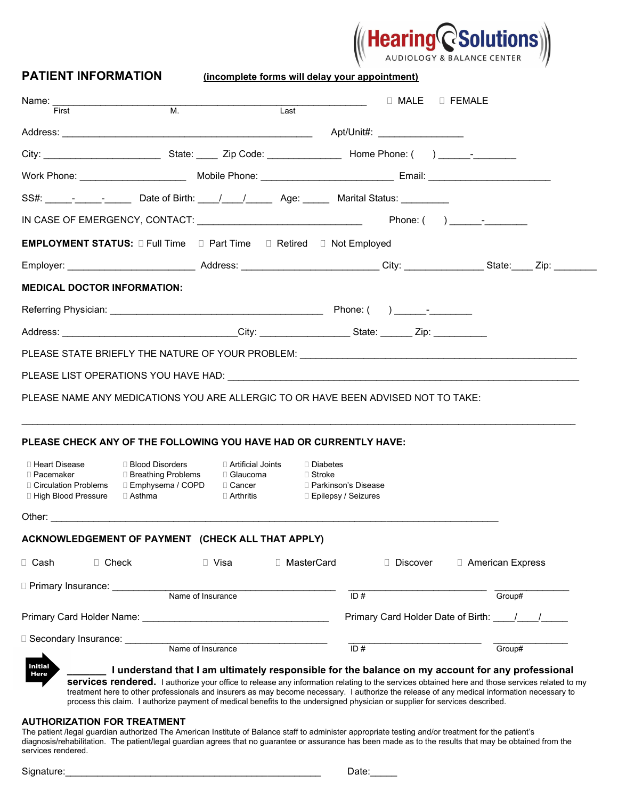| $\left(\!\!\!\left(\ \mathsf{Hearing}_{\mathsf{ADIDIOOSY 8 BALANCE CENTER}^{\mathsf{R}}\!\!\!\right)\!\!\!\right)$ |
|--------------------------------------------------------------------------------------------------------------------|
| AUDIOLOGY & BALANCE CENTER                                                                                         |

| <b>PATIENT INFORMATION</b>                                                                                               |                                                                                                                                                                                                      |                                                      |                                        |
|--------------------------------------------------------------------------------------------------------------------------|------------------------------------------------------------------------------------------------------------------------------------------------------------------------------------------------------|------------------------------------------------------|----------------------------------------|
| Name: __________________________<br>First                                                                                | $\overline{\mathsf{M}}$ .<br>Last                                                                                                                                                                    |                                                      | □ MALE □ FEMALE                        |
|                                                                                                                          |                                                                                                                                                                                                      |                                                      |                                        |
|                                                                                                                          |                                                                                                                                                                                                      |                                                      |                                        |
|                                                                                                                          |                                                                                                                                                                                                      |                                                      |                                        |
|                                                                                                                          | SS#: _____- <sub>______</sub> ___________ Date of Birth: ____/_____/________Age: ________Marital Status: _________                                                                                   |                                                      |                                        |
|                                                                                                                          |                                                                                                                                                                                                      |                                                      |                                        |
|                                                                                                                          | EMPLOYMENT STATUS: D Full Time D Part Time D Retired D Not Employed                                                                                                                                  |                                                      |                                        |
|                                                                                                                          | Employer: __________________________________Address: ____________________________City: _________________State: _____ Zip: ___________                                                                |                                                      |                                        |
| <b>MEDICAL DOCTOR INFORMATION:</b>                                                                                       |                                                                                                                                                                                                      |                                                      |                                        |
|                                                                                                                          |                                                                                                                                                                                                      |                                                      |                                        |
|                                                                                                                          |                                                                                                                                                                                                      |                                                      |                                        |
|                                                                                                                          |                                                                                                                                                                                                      |                                                      |                                        |
|                                                                                                                          |                                                                                                                                                                                                      |                                                      |                                        |
|                                                                                                                          | PLEASE LIST OPERATIONS YOU HAVE HAD: THE STATE OF STATE OF STATE OF STATE OF STATE OF STATE OF STATE OF STATE O<br>PLEASE NAME ANY MEDICATIONS YOU ARE ALLERGIC TO OR HAVE BEEN ADVISED NOT TO TAKE: |                                                      |                                        |
| Address: Zip: The City: City: State: Zip:<br>□ Heart Disease<br>□ Blood Disorders<br>□ Breathing Problems<br>□ Pacemaker | PLEASE CHECK ANY OF THE FOLLOWING YOU HAVE HAD OR CURRENTLY HAVE:<br>□ Artificial Joints<br>□ Glaucoma                                                                                               | □ Diabetes<br>$\Box$ Stroke<br>□ Parkinson's Disease |                                        |
| □ Asthma                                                                                                                 | $\Box$ Arthritis                                                                                                                                                                                     | □ Epilepsy / Seizures                                |                                        |
|                                                                                                                          |                                                                                                                                                                                                      |                                                      |                                        |
| □ High Blood Pressure<br>Other: $\_\_\_\_\_\$<br>$\Box$ Check<br>□ Cash.                                                 | ACKNOWLEDGEMENT OF PAYMENT (CHECK ALL THAT APPLY)<br>□ Visa                                                                                                                                          | □ MasterCard<br>$\Box$ Discover                      | □ American Express                     |
|                                                                                                                          |                                                                                                                                                                                                      |                                                      |                                        |
|                                                                                                                          | Name of Insurance                                                                                                                                                                                    | ID#                                                  | Group#                                 |
| D Primary Insurance: Denterial Primary<br>□ Secondary Insurance: _______                                                 |                                                                                                                                                                                                      |                                                      | Primary Card Holder Date of Birth: / / |

#### AUTHORIZATION FOR TREATMENT

The patient /legal guardian authorized The American Institute of Balance staff to administer appropriate testing and/or treatment for the patient's diagnosis/rehabilitation. The patient/legal guardian agrees that no guarantee or assurance has been made as to the results that may be obtained from the services rendered.

Signature:\_\_\_\_\_\_\_\_\_\_\_\_\_\_\_\_\_\_\_\_\_\_\_\_\_\_\_\_\_\_\_\_\_\_\_\_\_\_\_\_\_\_\_\_\_\_\_\_ Date:\_\_\_\_\_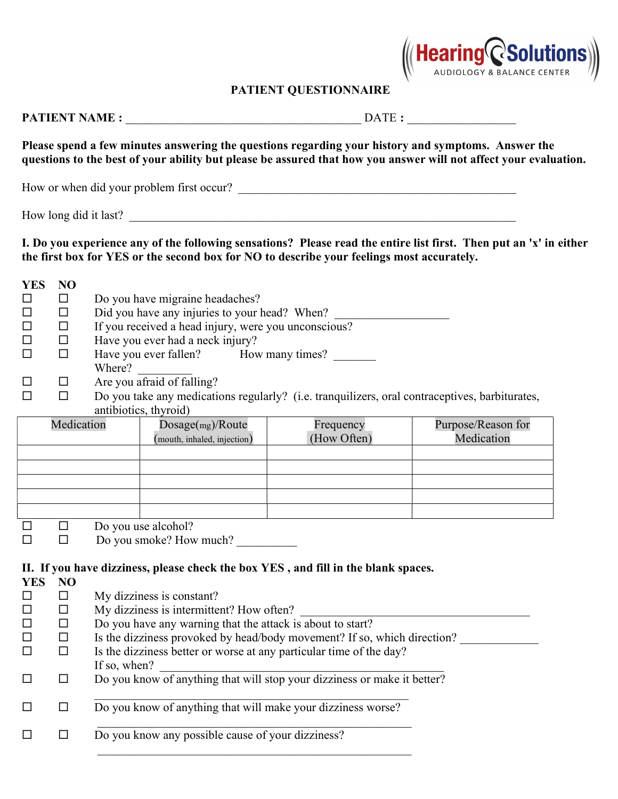

# PATIENT QUESTIONNAIRE

|                                                                                                                         |              |                                                                                                                                                                                                                                                                                                                                                                                                                                                          |                          | Please spend a few minutes answering the questions regarding your history and symptoms. Answer the<br>questions to the best of your ability but please be assured that how you answer will not affect your evaluation. |  |
|-------------------------------------------------------------------------------------------------------------------------|--------------|----------------------------------------------------------------------------------------------------------------------------------------------------------------------------------------------------------------------------------------------------------------------------------------------------------------------------------------------------------------------------------------------------------------------------------------------------------|--------------------------|------------------------------------------------------------------------------------------------------------------------------------------------------------------------------------------------------------------------|--|
|                                                                                                                         |              | How or when did your problem first occur?                                                                                                                                                                                                                                                                                                                                                                                                                |                          |                                                                                                                                                                                                                        |  |
|                                                                                                                         |              | How long did it last?                                                                                                                                                                                                                                                                                                                                                                                                                                    |                          |                                                                                                                                                                                                                        |  |
|                                                                                                                         |              | the first box for YES or the second box for NO to describe your feelings most accurately.                                                                                                                                                                                                                                                                                                                                                                |                          | I. Do you experience any of the following sensations? Please read the entire list first. Then put an 'x' in either                                                                                                     |  |
| <b>YES</b><br><b>NO</b><br>$\Box$<br>□<br>□<br>$\Box$<br>П<br>□<br>□<br>$\Box$<br>П<br>$\Box$<br>$\Box$<br>ΙI           |              | Do you have migraine headaches?<br>Did you have any injuries to your head? When? ___________________________________<br>If you received a head injury, were you unconscious?<br>Have you ever had a neck injury?<br>Have you ever fallen? How many times?<br>Where? $\qquad \qquad$                                                                                                                                                                      |                          |                                                                                                                                                                                                                        |  |
| □<br>$\Box$                                                                                                             |              | Are you afraid of falling?<br>Do you take any medications regularly? (i.e. tranquilizers, oral contraceptives, barbiturates,<br>antibiotics, thyroid)                                                                                                                                                                                                                                                                                                    |                          |                                                                                                                                                                                                                        |  |
|                                                                                                                         | Medication   | Dosage(mg)/Route<br>(mouth, inhaled, injection)                                                                                                                                                                                                                                                                                                                                                                                                          | Frequency<br>(How Often) | Purpose/Reason for<br>Medication                                                                                                                                                                                       |  |
| □<br>$\Box$<br>□<br>$\Box$                                                                                              |              | Do you use alcohol?<br>Do you smoke? How much?                                                                                                                                                                                                                                                                                                                                                                                                           |                          |                                                                                                                                                                                                                        |  |
| <b>YES</b><br>N <sub>O</sub><br>$\Box$<br>$\Box$<br>ΙI<br>$\Box$<br>П<br>$\Box$<br>□<br>$\Box$<br>$\Box$<br>$\Box$<br>□ | If so, when? | II. If you have dizziness, please check the box YES, and fill in the blank spaces.<br>My dizziness is constant?<br>My dizziness is intermittent? How often?<br>Do you have any warning that the attack is about to start?<br>Is the dizziness provoked by head/body movement? If so, which direction?<br>Is the dizziness better or worse at any particular time of the day?<br>Do you know of anything that will stop your dizziness or make it better? |                          |                                                                                                                                                                                                                        |  |
| $\Box$<br>$\Box$                                                                                                        |              | Do you know of anything that will make your dizziness worse?                                                                                                                                                                                                                                                                                                                                                                                             |                          |                                                                                                                                                                                                                        |  |
| $\Box$<br>$\Box$                                                                                                        |              | Do you know any possible cause of your dizziness?                                                                                                                                                                                                                                                                                                                                                                                                        |                          |                                                                                                                                                                                                                        |  |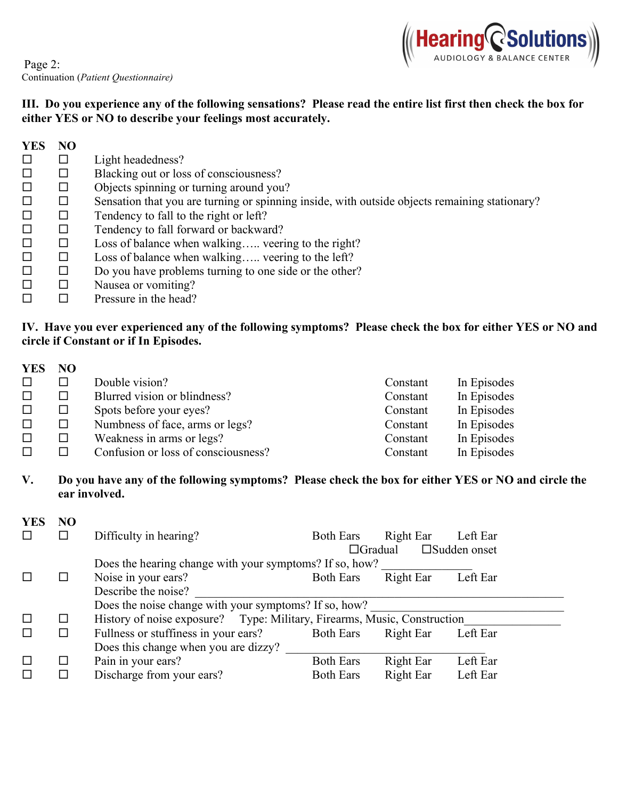

## ІІІ. Do you experience any of the following sensations? Please read the entire list first then check the box for either YES or NO to describe your feelings most accurately.

| <b>YES</b> | N <sub>O</sub> |                                                                                               |
|------------|----------------|-----------------------------------------------------------------------------------------------|
|            | $\Box$         | Light headedness?                                                                             |
|            | $\Box$         | Blacking out or loss of consciousness?                                                        |
|            | ⊔              | Objects spinning or turning around you?                                                       |
|            | ⊔              | Sensation that you are turning or spinning inside, with outside objects remaining stationary? |
|            | □              | Tendency to fall to the right or left?                                                        |
|            | □              | Tendency to fall forward or backward?                                                         |
|            | $\Box$         | Loss of balance when walking veering to the right?                                            |
|            | ⊔              | Loss of balance when walking veering to the left?                                             |
|            | ⊔              | Do you have problems turning to one side or the other?                                        |
|            | $\Box$         | Nausea or vomiting?                                                                           |
|            |                | Pressure in the head?                                                                         |

## ІV. Have you ever experienced any of the following symptoms? Please check the box for either YES or NO and circle if Constant or if In Episodes.

| <b>YES</b> | NO. |                                     |          |             |
|------------|-----|-------------------------------------|----------|-------------|
|            |     | Double vision?                      | Constant | In Episodes |
|            | П   | Blurred vision or blindness?        | Constant | In Episodes |
|            | ⊔   | Spots before your eyes?             | Constant | In Episodes |
|            | ⊔   | Numbness of face, arms or legs?     | Constant | In Episodes |
|            |     | Weakness in arms or legs?           | Constant | In Episodes |
|            |     | Confusion or loss of consciousness? | Constant | In Episodes |

V. Do you have any of the following symptoms? Please check the box for either YES or NO and circle the ear involved.

| <b>YES</b> | N <sub>O</sub> |                                                                          |                  |           |                        |
|------------|----------------|--------------------------------------------------------------------------|------------------|-----------|------------------------|
|            |                | Difficulty in hearing?                                                   | <b>Both Ears</b> | Right Ear | Left Ear               |
|            |                |                                                                          | $\Box$ Gradual   |           | $\square$ Sudden onset |
|            |                | Does the hearing change with your symptoms? If so, how?                  |                  |           |                        |
|            |                | Noise in your ears?                                                      | <b>Both Ears</b> | Right Ear | Left Ear               |
|            |                | Describe the noise?                                                      |                  |           |                        |
|            |                | Does the noise change with your symptoms? If so, how?                    |                  |           |                        |
| $\Box$     | ப              | History of noise exposure? Type: Military, Firearms, Music, Construction |                  |           |                        |
|            | ப              | Fullness or stuffiness in your ears?                                     | <b>Both Ears</b> | Right Ear | Left Ear               |
|            |                | Does this change when you are dizzy?                                     |                  |           |                        |
|            | ⊔              | Pain in your ears?                                                       | <b>Both Ears</b> | Right Ear | Left Ear               |
|            |                | Discharge from your ears?                                                | <b>Both Ears</b> | Right Ear | Left Ear               |
|            |                |                                                                          |                  |           |                        |